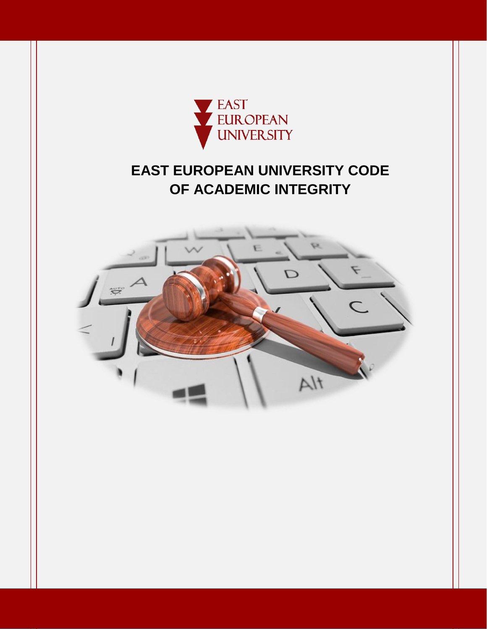

# **EAST EUROPEAN UNIVERSITY CODE OF ACADEMIC INTEGRITY**

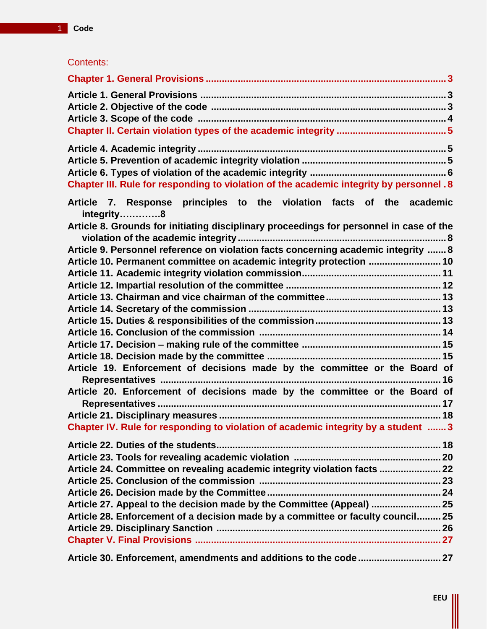|  |  | Contents: |
|--|--|-----------|
|  |  |           |

| Chapter III. Rule for responding to violation of the academic integrity by personnel . 8                                                                                                                                                                                                                                                                                     |  |
|------------------------------------------------------------------------------------------------------------------------------------------------------------------------------------------------------------------------------------------------------------------------------------------------------------------------------------------------------------------------------|--|
| Article 7. Response principles to the violation facts of the academic<br>integrity8<br>Article 8. Grounds for initiating disciplinary proceedings for personnel in case of the<br>Article 9. Personnel reference on violation facts concerning academic integrity  8<br>Article 10. Permanent committee on academic integrity protection  10                                 |  |
| Article 19. Enforcement of decisions made by the committee or the Board of<br>Article 20. Enforcement of decisions made by the committee or the Board of<br>Chapter IV. Rule for responding to violation of academic integrity by a student  3                                                                                                                               |  |
| Article 24. Committee on revealing academic integrity violation facts  22<br>Article 27. Appeal to the decision made by the Committee (Appeal)  25<br>Article 28. Enforcement of a decision made by a committee or faculty council 25<br>$\mathbf{L}$ and $\mathbf{L}$ are $\mathbf{L}$ and $\mathbf{L}$ and $\mathbf{L}$ and $\mathbf{L}$ and $\mathbf{L}$ and $\mathbf{L}$ |  |
|                                                                                                                                                                                                                                                                                                                                                                              |  |

**Article 30. Enforcement, amendments and additions to the code............................... 27**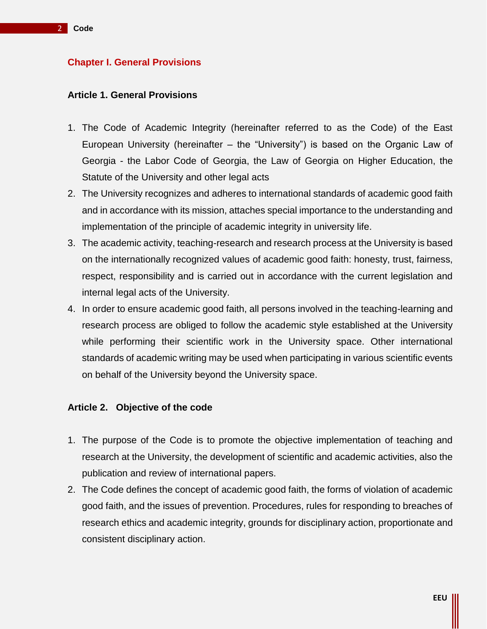# **Chapter I. General Provisions**

#### **Article 1. General Provisions**

- 1. The Code of Academic Integrity (hereinafter referred to as the Code) of the East European University (hereinafter – the "University") is based on the Organic Law of Georgia - the Labor Code of Georgia, the Law of Georgia on Higher Education, the Statute of the University and other legal acts
- 2. The University recognizes and adheres to international standards of academic good faith and in accordance with its mission, attaches special importance to the understanding and implementation of the principle of academic integrity in university life.
- 3. The academic activity, teaching-research and research process at the University is based on the internationally recognized values of academic good faith: honesty, trust, fairness, respect, responsibility and is carried out in accordance with the current legislation and internal legal acts of the University.
- 4. In order to ensure academic good faith, all persons involved in the teaching-learning and research process are obliged to follow the academic style established at the University while performing their scientific work in the University space. Other international standards of academic writing may be used when participating in various scientific events on behalf of the University beyond the University space.

# **Article 2. Objective of the code**

- 1. The purpose of the Code is to promote the objective implementation of teaching and research at the University, the development of scientific and academic activities, also the publication and review of international papers.
- 2. The Code defines the concept of academic good faith, the forms of violation of academic good faith, and the issues of prevention. Procedures, rules for responding to breaches of research ethics and academic integrity, grounds for disciplinary action, proportionate and consistent disciplinary action.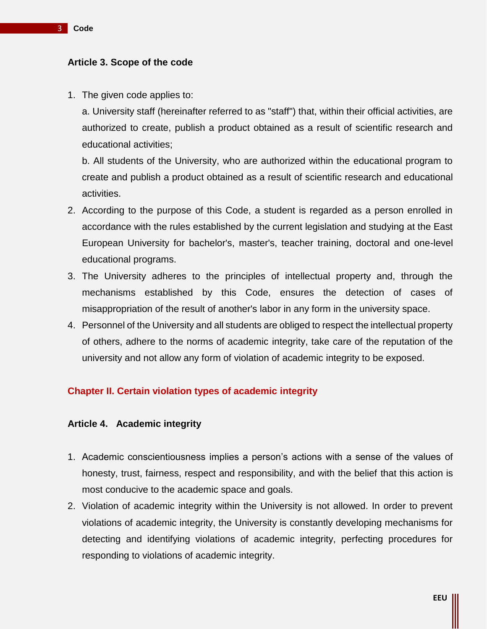### **Article 3. Scope of the code**

1. The given code applies to:

a. University staff (hereinafter referred to as "staff") that, within their official activities, are authorized to create, publish a product obtained as a result of scientific research and educational activities;

b. All students of the University, who are authorized within the educational program to create and publish a product obtained as a result of scientific research and educational activities.

- 2. According to the purpose of this Code, a student is regarded as a person enrolled in accordance with the rules established by the current legislation and studying at the East European University for bachelor's, master's, teacher training, doctoral and one-level educational programs.
- 3. The University adheres to the principles of intellectual property and, through the mechanisms established by this Code, ensures the detection of cases of misappropriation of the result of another's labor in any form in the university space.
- 4. Personnel of the University and all students are obliged to respect the intellectual property of others, adhere to the norms of academic integrity, take care of the reputation of the university and not allow any form of violation of academic integrity to be exposed.

# **Chapter II. Certain violation types of academic integrity**

# **Article 4. Academic integrity**

- 1. Academic conscientiousness implies a person's actions with a sense of the values of honesty, trust, fairness, respect and responsibility, and with the belief that this action is most conducive to the academic space and goals.
- 2. Violation of academic integrity within the University is not allowed. In order to prevent violations of academic integrity, the University is constantly developing mechanisms for detecting and identifying violations of academic integrity, perfecting procedures for responding to violations of academic integrity.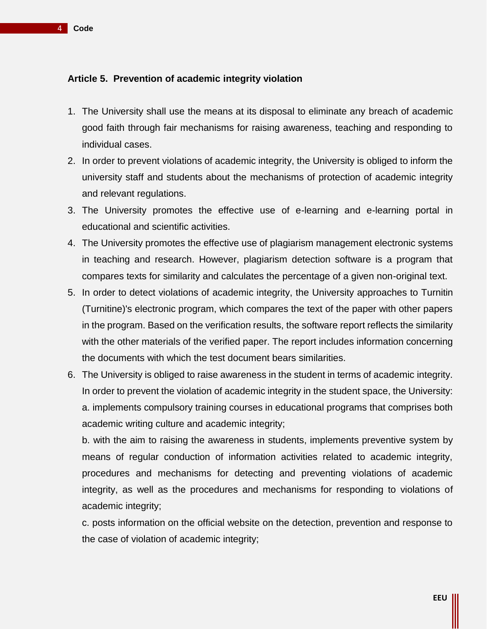4 **Code**

# **Article 5. Prevention of academic integrity violation**

- 1. The University shall use the means at its disposal to eliminate any breach of academic good faith through fair mechanisms for raising awareness, teaching and responding to individual cases.
- 2. In order to prevent violations of academic integrity, the University is obliged to inform the university staff and students about the mechanisms of protection of academic integrity and relevant regulations.
- 3. The University promotes the effective use of e-learning and e-learning portal in educational and scientific activities.
- 4. The University promotes the effective use of plagiarism management electronic systems in teaching and research. However, plagiarism detection software is a program that compares texts for similarity and calculates the percentage of a given non-original text.
- 5. In order to detect violations of academic integrity, the University approaches to Turnitin (Turnitine)'s electronic program, which compares the text of the paper with other papers in the program. Based on the verification results, the software report reflects the similarity with the other materials of the verified paper. The report includes information concerning the documents with which the test document bears similarities.
- 6. The University is obliged to raise awareness in the student in terms of academic integrity. In order to prevent the violation of academic integrity in the student space, the University: a. implements compulsory training courses in educational programs that comprises both academic writing culture and academic integrity;

b. with the aim to raising the awareness in students, implements preventive system by means of regular conduction of information activities related to academic integrity, procedures and mechanisms for detecting and preventing violations of academic integrity, as well as the procedures and mechanisms for responding to violations of academic integrity;

c. posts information on the official website on the detection, prevention and response to the case of violation of academic integrity;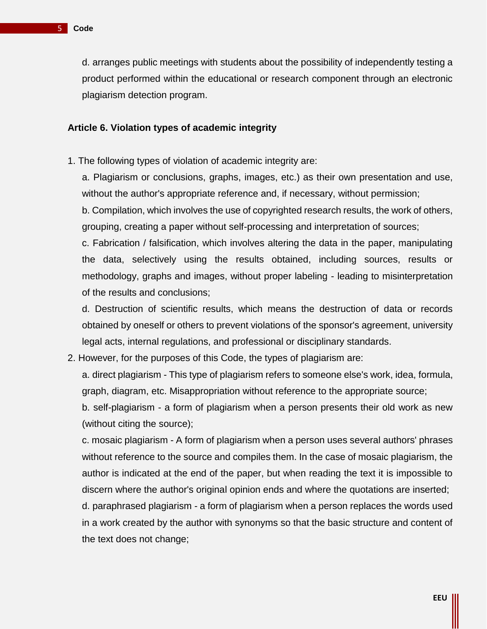d. arranges public meetings with students about the possibility of independently testing a product performed within the educational or research component through an electronic plagiarism detection program.

# **Article 6. Violation types of academic integrity**

1. The following types of violation of academic integrity are:

a. Plagiarism or conclusions, graphs, images, etc.) as their own presentation and use, without the author's appropriate reference and, if necessary, without permission;

b. Compilation, which involves the use of copyrighted research results, the work of others, grouping, creating a paper without self-processing and interpretation of sources;

c. Fabrication / falsification, which involves altering the data in the paper, manipulating the data, selectively using the results obtained, including sources, results or methodology, graphs and images, without proper labeling - leading to misinterpretation of the results and conclusions;

d. Destruction of scientific results, which means the destruction of data or records obtained by oneself or others to prevent violations of the sponsor's agreement, university legal acts, internal regulations, and professional or disciplinary standards.

2. However, for the purposes of this Code, the types of plagiarism are:

a. direct plagiarism - This type of plagiarism refers to someone else's work, idea, formula, graph, diagram, etc. Misappropriation without reference to the appropriate source;

b. self-plagiarism - a form of plagiarism when a person presents their old work as new (without citing the source);

c. mosaic plagiarism - A form of plagiarism when a person uses several authors' phrases without reference to the source and compiles them. In the case of mosaic plagiarism, the author is indicated at the end of the paper, but when reading the text it is impossible to discern where the author's original opinion ends and where the quotations are inserted; d. paraphrased plagiarism - a form of plagiarism when a person replaces the words used

in a work created by the author with synonyms so that the basic structure and content of the text does not change;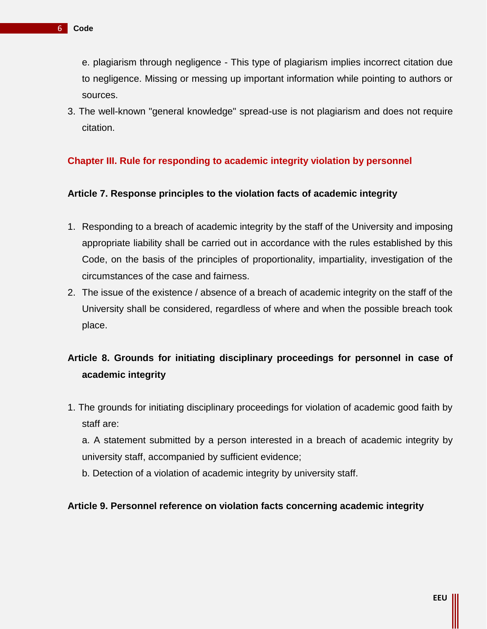e. plagiarism through negligence - This type of plagiarism implies incorrect citation due to negligence. Missing or messing up important information while pointing to authors or sources.

3. The well-known "general knowledge" spread-use is not plagiarism and does not require citation.

# **Chapter III. Rule for responding to academic integrity violation by personnel**

# **Article 7. Response principles to the violation facts of academic integrity**

- 1. Responding to a breach of academic integrity by the staff of the University and imposing appropriate liability shall be carried out in accordance with the rules established by this Code, on the basis of the principles of proportionality, impartiality, investigation of the circumstances of the case and fairness.
- 2. The issue of the existence / absence of a breach of academic integrity on the staff of the University shall be considered, regardless of where and when the possible breach took place.

# **Article 8. Grounds for initiating disciplinary proceedings for personnel in case of academic integrity**

1. The grounds for initiating disciplinary proceedings for violation of academic good faith by staff are:

a. A statement submitted by a person interested in a breach of academic integrity by university staff, accompanied by sufficient evidence;

b. Detection of a violation of academic integrity by university staff.

#### **Article 9. Personnel reference on violation facts concerning academic integrity**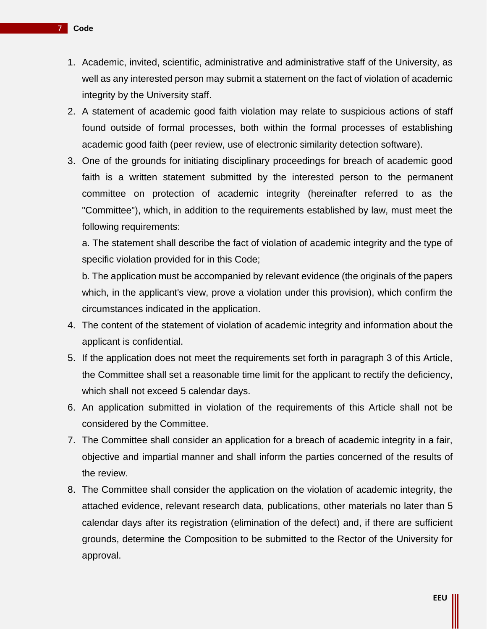- 1. Academic, invited, scientific, administrative and administrative staff of the University, as well as any interested person may submit a statement on the fact of violation of academic integrity by the University staff.
- 2. A statement of academic good faith violation may relate to suspicious actions of staff found outside of formal processes, both within the formal processes of establishing academic good faith (peer review, use of electronic similarity detection software).
- 3. One of the grounds for initiating disciplinary proceedings for breach of academic good faith is a written statement submitted by the interested person to the permanent committee on protection of academic integrity (hereinafter referred to as the "Committee"), which, in addition to the requirements established by law, must meet the following requirements:

a. The statement shall describe the fact of violation of academic integrity and the type of specific violation provided for in this Code;

b. The application must be accompanied by relevant evidence (the originals of the papers which, in the applicant's view, prove a violation under this provision), which confirm the circumstances indicated in the application.

- 4. The content of the statement of violation of academic integrity and information about the applicant is confidential.
- 5. If the application does not meet the requirements set forth in paragraph 3 of this Article, the Committee shall set a reasonable time limit for the applicant to rectify the deficiency, which shall not exceed 5 calendar days.
- 6. An application submitted in violation of the requirements of this Article shall not be considered by the Committee.
- 7. The Committee shall consider an application for a breach of academic integrity in a fair, objective and impartial manner and shall inform the parties concerned of the results of the review.
- 8. The Committee shall consider the application on the violation of academic integrity, the attached evidence, relevant research data, publications, other materials no later than 5 calendar days after its registration (elimination of the defect) and, if there are sufficient grounds, determine the Composition to be submitted to the Rector of the University for approval.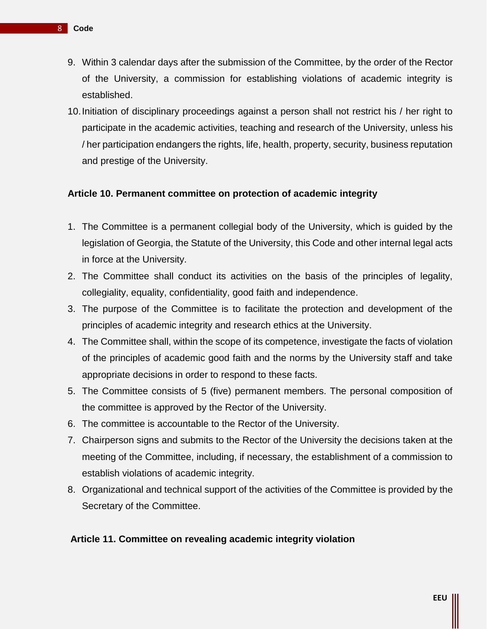- 9. Within 3 calendar days after the submission of the Committee, by the order of the Rector of the University, a commission for establishing violations of academic integrity is established.
- 10.Initiation of disciplinary proceedings against a person shall not restrict his / her right to participate in the academic activities, teaching and research of the University, unless his / her participation endangers the rights, life, health, property, security, business reputation and prestige of the University.

# **Article 10. Permanent committee on protection of academic integrity**

- 1. The Committee is a permanent collegial body of the University, which is guided by the legislation of Georgia, the Statute of the University, this Code and other internal legal acts in force at the University.
- 2. The Committee shall conduct its activities on the basis of the principles of legality, collegiality, equality, confidentiality, good faith and independence.
- 3. The purpose of the Committee is to facilitate the protection and development of the principles of academic integrity and research ethics at the University.
- 4. The Committee shall, within the scope of its competence, investigate the facts of violation of the principles of academic good faith and the norms by the University staff and take appropriate decisions in order to respond to these facts.
- 5. The Committee consists of 5 (five) permanent members. The personal composition of the committee is approved by the Rector of the University.
- 6. The committee is accountable to the Rector of the University.
- 7. Chairperson signs and submits to the Rector of the University the decisions taken at the meeting of the Committee, including, if necessary, the establishment of a commission to establish violations of academic integrity.
- 8. Organizational and technical support of the activities of the Committee is provided by the Secretary of the Committee.

#### **Article 11. Committee on revealing academic integrity violation**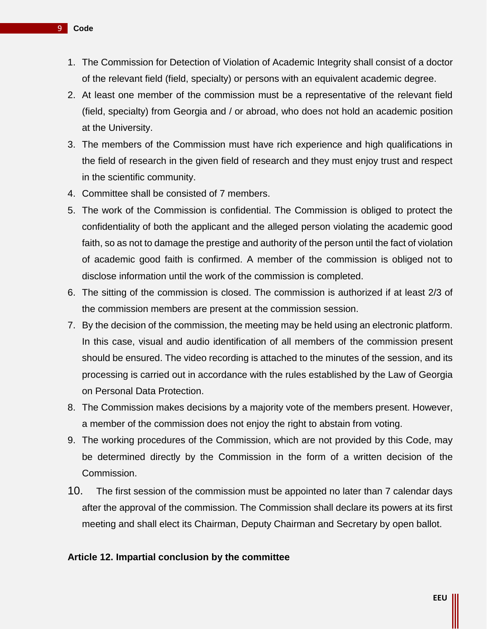- 1. The Commission for Detection of Violation of Academic Integrity shall consist of a doctor of the relevant field (field, specialty) or persons with an equivalent academic degree.
- 2. At least one member of the commission must be a representative of the relevant field (field, specialty) from Georgia and / or abroad, who does not hold an academic position at the University.
- 3. The members of the Commission must have rich experience and high qualifications in the field of research in the given field of research and they must enjoy trust and respect in the scientific community.
- 4. Committee shall be consisted of 7 members.
- 5. The work of the Commission is confidential. The Commission is obliged to protect the confidentiality of both the applicant and the alleged person violating the academic good faith, so as not to damage the prestige and authority of the person until the fact of violation of academic good faith is confirmed. A member of the commission is obliged not to disclose information until the work of the commission is completed.
- 6. The sitting of the commission is closed. The commission is authorized if at least 2/3 of the commission members are present at the commission session.
- 7. By the decision of the commission, the meeting may be held using an electronic platform. In this case, visual and audio identification of all members of the commission present should be ensured. The video recording is attached to the minutes of the session, and its processing is carried out in accordance with the rules established by the Law of Georgia on Personal Data Protection.
- 8. The Commission makes decisions by a majority vote of the members present. However, a member of the commission does not enjoy the right to abstain from voting.
- 9. The working procedures of the Commission, which are not provided by this Code, may be determined directly by the Commission in the form of a written decision of the Commission.
- 10. The first session of the commission must be appointed no later than 7 calendar days after the approval of the commission. The Commission shall declare its powers at its first meeting and shall elect its Chairman, Deputy Chairman and Secretary by open ballot.

#### **Article 12. Impartial conclusion by the committee**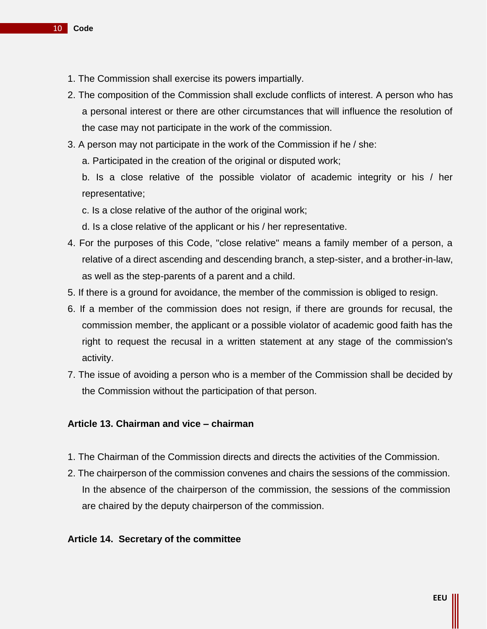- 1. The Commission shall exercise its powers impartially.
- 2. The composition of the Commission shall exclude conflicts of interest. A person who has a personal interest or there are other circumstances that will influence the resolution of the case may not participate in the work of the commission.
- 3. A person may not participate in the work of the Commission if he / she:

a. Participated in the creation of the original or disputed work;

b. Is a close relative of the possible violator of academic integrity or his / her representative;

c. Is a close relative of the author of the original work;

d. Is a close relative of the applicant or his / her representative.

- 4. For the purposes of this Code, "close relative" means a family member of a person, a relative of a direct ascending and descending branch, a step-sister, and a brother-in-law, as well as the step-parents of a parent and a child.
- 5. If there is a ground for avoidance, the member of the commission is obliged to resign.
- 6. If a member of the commission does not resign, if there are grounds for recusal, the commission member, the applicant or a possible violator of academic good faith has the right to request the recusal in a written statement at any stage of the commission's activity.
- 7. The issue of avoiding a person who is a member of the Commission shall be decided by the Commission without the participation of that person.

# **Article 13. Chairman and vice – chairman**

- 1. The Chairman of the Commission directs and directs the activities of the Commission.
- 2. The chairperson of the commission convenes and chairs the sessions of the commission. In the absence of the chairperson of the commission, the sessions of the commission are chaired by the deputy chairperson of the commission.

#### **Article 14. Secretary of the committee**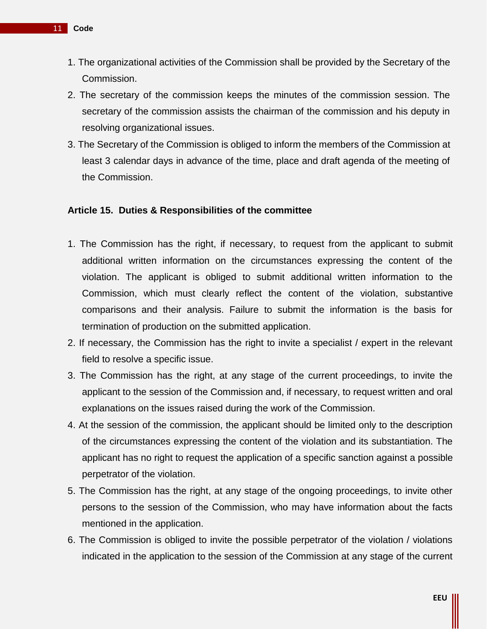- 1. The organizational activities of the Commission shall be provided by the Secretary of the Commission.
- 2. The secretary of the commission keeps the minutes of the commission session. The secretary of the commission assists the chairman of the commission and his deputy in resolving organizational issues.
- 3. The Secretary of the Commission is obliged to inform the members of the Commission at least 3 calendar days in advance of the time, place and draft agenda of the meeting of the Commission.

## **Article 15. Duties & Responsibilities of the committee**

- 1. The Commission has the right, if necessary, to request from the applicant to submit additional written information on the circumstances expressing the content of the violation. The applicant is obliged to submit additional written information to the Commission, which must clearly reflect the content of the violation, substantive comparisons and their analysis. Failure to submit the information is the basis for termination of production on the submitted application.
- 2. If necessary, the Commission has the right to invite a specialist / expert in the relevant field to resolve a specific issue.
- 3. The Commission has the right, at any stage of the current proceedings, to invite the applicant to the session of the Commission and, if necessary, to request written and oral explanations on the issues raised during the work of the Commission.
- 4. At the session of the commission, the applicant should be limited only to the description of the circumstances expressing the content of the violation and its substantiation. The applicant has no right to request the application of a specific sanction against a possible perpetrator of the violation.
- 5. The Commission has the right, at any stage of the ongoing proceedings, to invite other persons to the session of the Commission, who may have information about the facts mentioned in the application.
- 6. The Commission is obliged to invite the possible perpetrator of the violation / violations indicated in the application to the session of the Commission at any stage of the current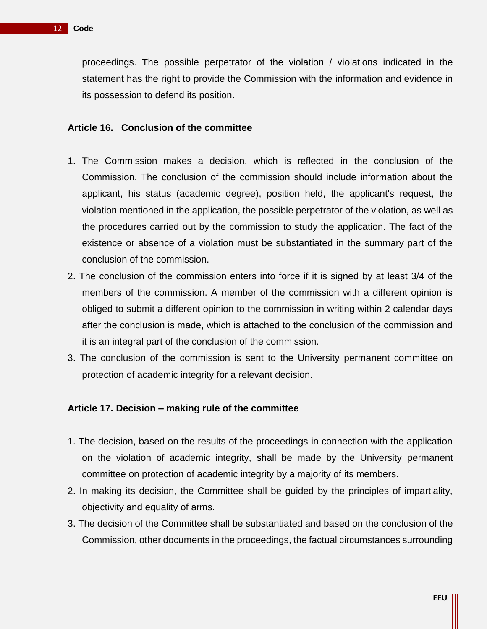proceedings. The possible perpetrator of the violation / violations indicated in the statement has the right to provide the Commission with the information and evidence in its possession to defend its position.

#### **Article 16. Conclusion of the committee**

- 1. The Commission makes a decision, which is reflected in the conclusion of the Commission. The conclusion of the commission should include information about the applicant, his status (academic degree), position held, the applicant's request, the violation mentioned in the application, the possible perpetrator of the violation, as well as the procedures carried out by the commission to study the application. The fact of the existence or absence of a violation must be substantiated in the summary part of the conclusion of the commission.
- 2. The conclusion of the commission enters into force if it is signed by at least 3/4 of the members of the commission. A member of the commission with a different opinion is obliged to submit a different opinion to the commission in writing within 2 calendar days after the conclusion is made, which is attached to the conclusion of the commission and it is an integral part of the conclusion of the commission.
- 3. The conclusion of the commission is sent to the University permanent committee on protection of academic integrity for a relevant decision.

#### **Article 17. Decision – making rule of the committee**

- 1. The decision, based on the results of the proceedings in connection with the application on the violation of academic integrity, shall be made by the University permanent committee on protection of academic integrity by a majority of its members.
- 2. In making its decision, the Committee shall be guided by the principles of impartiality, objectivity and equality of arms.
- 3. The decision of the Committee shall be substantiated and based on the conclusion of the Commission, other documents in the proceedings, the factual circumstances surrounding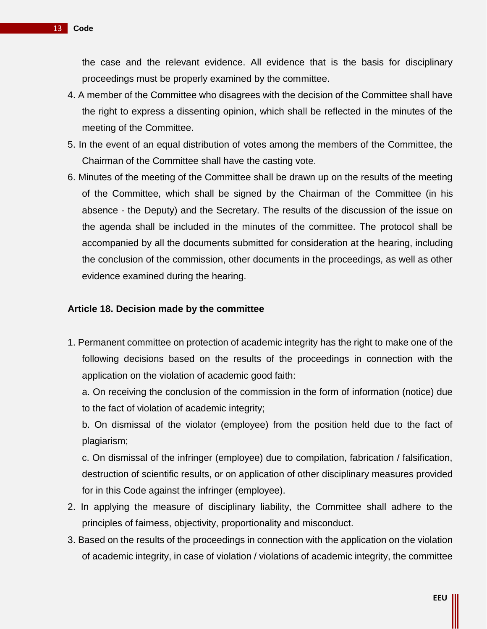the case and the relevant evidence. All evidence that is the basis for disciplinary proceedings must be properly examined by the committee.

- 4. A member of the Committee who disagrees with the decision of the Committee shall have the right to express a dissenting opinion, which shall be reflected in the minutes of the meeting of the Committee.
- 5. In the event of an equal distribution of votes among the members of the Committee, the Chairman of the Committee shall have the casting vote.
- 6. Minutes of the meeting of the Committee shall be drawn up on the results of the meeting of the Committee, which shall be signed by the Chairman of the Committee (in his absence - the Deputy) and the Secretary. The results of the discussion of the issue on the agenda shall be included in the minutes of the committee. The protocol shall be accompanied by all the documents submitted for consideration at the hearing, including the conclusion of the commission, other documents in the proceedings, as well as other evidence examined during the hearing.

#### **Article 18. Decision made by the committee**

- 1. Permanent committee on protection of academic integrity has the right to make one of the following decisions based on the results of the proceedings in connection with the application on the violation of academic good faith:
	- a. On receiving the conclusion of the commission in the form of information (notice) due to the fact of violation of academic integrity;

b. On dismissal of the violator (employee) from the position held due to the fact of plagiarism;

c. On dismissal of the infringer (employee) due to compilation, fabrication / falsification, destruction of scientific results, or on application of other disciplinary measures provided for in this Code against the infringer (employee).

- 2. In applying the measure of disciplinary liability, the Committee shall adhere to the principles of fairness, objectivity, proportionality and misconduct.
- 3. Based on the results of the proceedings in connection with the application on the violation of academic integrity, in case of violation / violations of academic integrity, the committee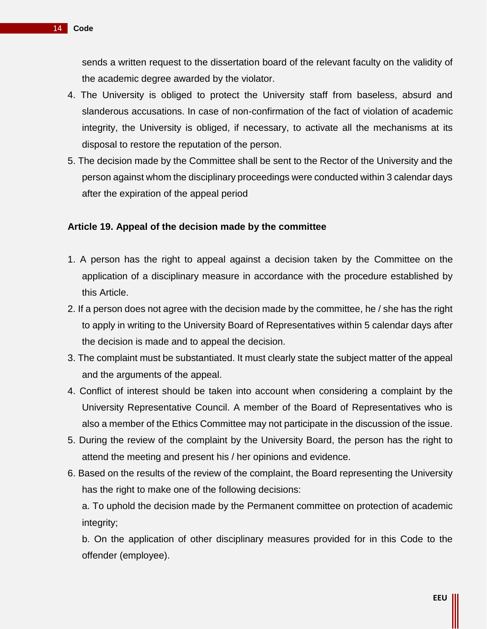sends a written request to the dissertation board of the relevant faculty on the validity of the academic degree awarded by the violator.

- 4. The University is obliged to protect the University staff from baseless, absurd and slanderous accusations. In case of non-confirmation of the fact of violation of academic integrity, the University is obliged, if necessary, to activate all the mechanisms at its disposal to restore the reputation of the person.
- 5. The decision made by the Committee shall be sent to the Rector of the University and the person against whom the disciplinary proceedings were conducted within 3 calendar days after the expiration of the appeal period

# **Article 19. Appeal of the decision made by the committee**

- 1. A person has the right to appeal against a decision taken by the Committee on the application of a disciplinary measure in accordance with the procedure established by this Article.
- 2. If a person does not agree with the decision made by the committee, he / she has the right to apply in writing to the University Board of Representatives within 5 calendar days after the decision is made and to appeal the decision.
- 3. The complaint must be substantiated. It must clearly state the subject matter of the appeal and the arguments of the appeal.
- 4. Conflict of interest should be taken into account when considering a complaint by the University Representative Council. A member of the Board of Representatives who is also a member of the Ethics Committee may not participate in the discussion of the issue.
- 5. During the review of the complaint by the University Board, the person has the right to attend the meeting and present his / her opinions and evidence.
- 6. Based on the results of the review of the complaint, the Board representing the University has the right to make one of the following decisions:

a. To uphold the decision made by the Permanent committee on protection of academic integrity;

b. On the application of other disciplinary measures provided for in this Code to the offender (employee).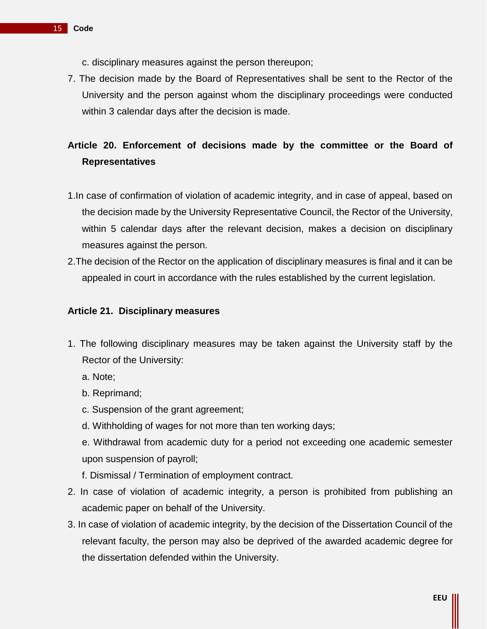- c. disciplinary measures against the person thereupon;
- 7. The decision made by the Board of Representatives shall be sent to the Rector of the University and the person against whom the disciplinary proceedings were conducted within 3 calendar days after the decision is made.

# **Article 20. Enforcement of decisions made by the committee or the Board of Representatives**

- 1.In case of confirmation of violation of academic integrity, and in case of appeal, based on the decision made by the University Representative Council, the Rector of the University, within 5 calendar days after the relevant decision, makes a decision on disciplinary measures against the person.
- 2.The decision of the Rector on the application of disciplinary measures is final and it can be appealed in court in accordance with the rules established by the current legislation.

#### **Article 21. Disciplinary measures**

- 1. The following disciplinary measures may be taken against the University staff by the Rector of the University:
	- a. Note;
	- b. Reprimand;
	- c. Suspension of the grant agreement;
	- d. Withholding of wages for not more than ten working days;
	- e. Withdrawal from academic duty for a period not exceeding one academic semester upon suspension of payroll;
	- f. Dismissal / Termination of employment contract.
- 2. In case of violation of academic integrity, a person is prohibited from publishing an academic paper on behalf of the University.
- 3. In case of violation of academic integrity, by the decision of the Dissertation Council of the relevant faculty, the person may also be deprived of the awarded academic degree for the dissertation defended within the University.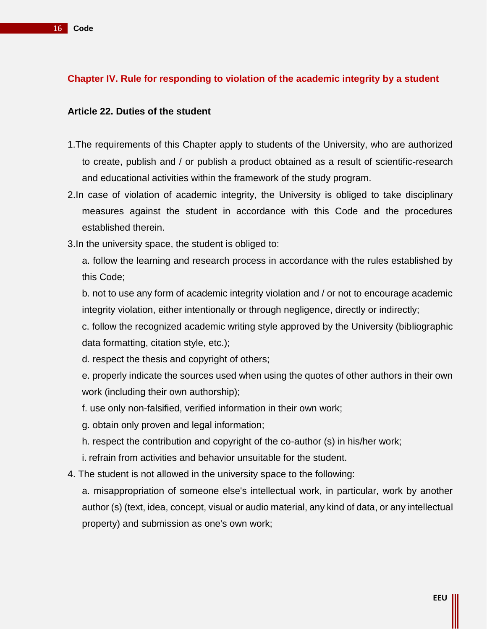# **Chapter IV. Rule for responding to violation of the academic integrity by a student**

#### **Article 22. Duties of the student**

- 1.The requirements of this Chapter apply to students of the University, who are authorized to create, publish and / or publish a product obtained as a result of scientific-research and educational activities within the framework of the study program.
- 2.In case of violation of academic integrity, the University is obliged to take disciplinary measures against the student in accordance with this Code and the procedures established therein.
- 3.In the university space, the student is obliged to:

a. follow the learning and research process in accordance with the rules established by this Code;

b. not to use any form of academic integrity violation and / or not to encourage academic integrity violation, either intentionally or through negligence, directly or indirectly;

c. follow the recognized academic writing style approved by the University (bibliographic data formatting, citation style, etc.);

d. respect the thesis and copyright of others;

e. properly indicate the sources used when using the quotes of other authors in their own work (including their own authorship);

- f. use only non-falsified, verified information in their own work;
- g. obtain only proven and legal information;
- h. respect the contribution and copyright of the co-author (s) in his/her work;
- i. refrain from activities and behavior unsuitable for the student.
- 4. The student is not allowed in the university space to the following:

a. misappropriation of someone else's intellectual work, in particular, work by another author (s) (text, idea, concept, visual or audio material, any kind of data, or any intellectual property) and submission as one's own work;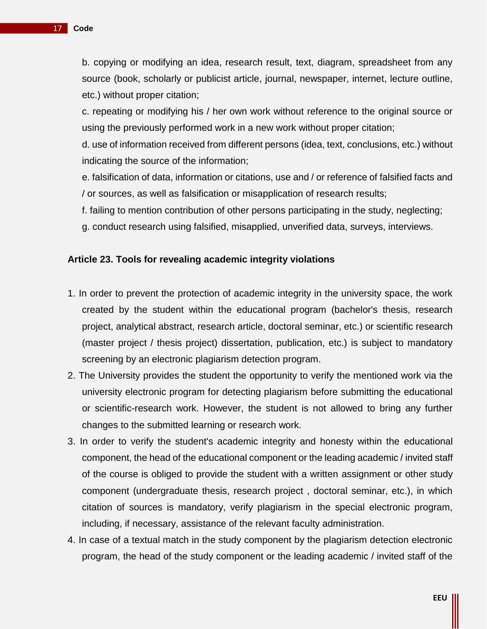c. repeating or modifying his / her own work without reference to the original source or using the previously performed work in a new work without proper citation;

d. use of information received from different persons (idea, text, conclusions, etc.) without indicating the source of the information;

e. falsification of data, information or citations, use and / or reference of falsified facts and / or sources, as well as falsification or misapplication of research results;

f. failing to mention contribution of other persons participating in the study, neglecting;

g. conduct research using falsified, misapplied, unverified data, surveys, interviews.

# **Article 23. Tools for revealing academic integrity violations**

- 1. In order to prevent the protection of academic integrity in the university space, the work created by the student within the educational program (bachelor's thesis, research project, analytical abstract, research article, doctoral seminar, etc.) or scientific research (master project / thesis project) dissertation, publication, etc.) is subject to mandatory screening by an electronic plagiarism detection program.
- 2. The University provides the student the opportunity to verify the mentioned work via the university electronic program for detecting plagiarism before submitting the educational or scientific-research work. However, the student is not allowed to bring any further changes to the submitted learning or research work.
- 3. In order to verify the student's academic integrity and honesty within the educational component, the head of the educational component or the leading academic / invited staff of the course is obliged to provide the student with a written assignment or other study component (undergraduate thesis, research project , doctoral seminar, etc.), in which citation of sources is mandatory, verify plagiarism in the special electronic program, including, if necessary, assistance of the relevant faculty administration.
- 4. In case of a textual match in the study component by the plagiarism detection electronic program, the head of the study component or the leading academic / invited staff of the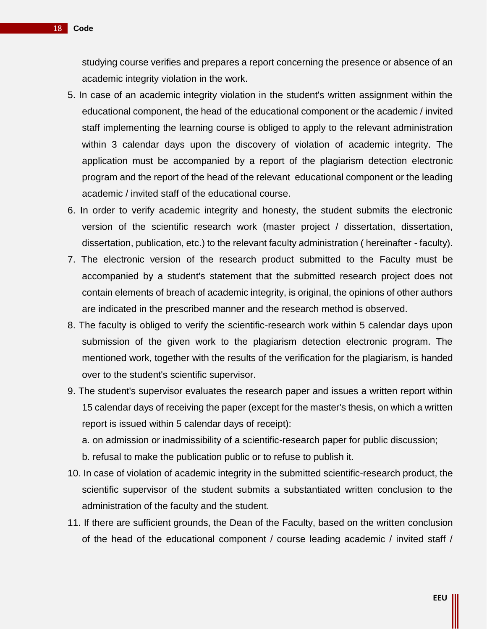studying course verifies and prepares a report concerning the presence or absence of an academic integrity violation in the work.

- 5. In case of an academic integrity violation in the student's written assignment within the educational component, the head of the educational component or the academic / invited staff implementing the learning course is obliged to apply to the relevant administration within 3 calendar days upon the discovery of violation of academic integrity. The application must be accompanied by a report of the plagiarism detection electronic program and the report of the head of the relevant educational component or the leading academic / invited staff of the educational course.
- 6. In order to verify academic integrity and honesty, the student submits the electronic version of the scientific research work (master project / dissertation, dissertation, dissertation, publication, etc.) to the relevant faculty administration ( hereinafter - faculty).
- 7. The electronic version of the research product submitted to the Faculty must be accompanied by a student's statement that the submitted research project does not contain elements of breach of academic integrity, is original, the opinions of other authors are indicated in the prescribed manner and the research method is observed.
- 8. The faculty is obliged to verify the scientific-research work within 5 calendar days upon submission of the given work to the plagiarism detection electronic program. The mentioned work, together with the results of the verification for the plagiarism, is handed over to the student's scientific supervisor.
- 9. The student's supervisor evaluates the research paper and issues a written report within 15 calendar days of receiving the paper (except for the master's thesis, on which a written report is issued within 5 calendar days of receipt):

a. on admission or inadmissibility of a scientific-research paper for public discussion;

b. refusal to make the publication public or to refuse to publish it.

- 10. In case of violation of academic integrity in the submitted scientific-research product, the scientific supervisor of the student submits a substantiated written conclusion to the administration of the faculty and the student.
- 11. If there are sufficient grounds, the Dean of the Faculty, based on the written conclusion of the head of the educational component / course leading academic / invited staff /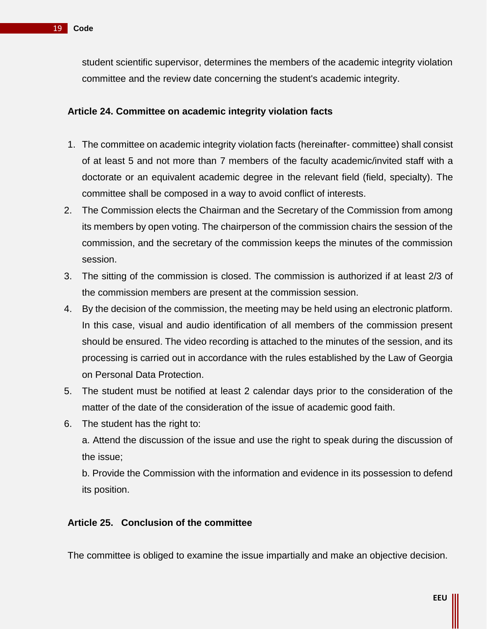student scientific supervisor, determines the members of the academic integrity violation committee and the review date concerning the student's academic integrity.

# **Article 24. Committee on academic integrity violation facts**

- 1. The committee on academic integrity violation facts (hereinafter- committee) shall consist of at least 5 and not more than 7 members of the faculty academic/invited staff with a doctorate or an equivalent academic degree in the relevant field (field, specialty). The committee shall be composed in a way to avoid conflict of interests.
- 2. The Commission elects the Chairman and the Secretary of the Commission from among its members by open voting. The chairperson of the commission chairs the session of the commission, and the secretary of the commission keeps the minutes of the commission session.
- 3. The sitting of the commission is closed. The commission is authorized if at least 2/3 of the commission members are present at the commission session.
- 4. By the decision of the commission, the meeting may be held using an electronic platform. In this case, visual and audio identification of all members of the commission present should be ensured. The video recording is attached to the minutes of the session, and its processing is carried out in accordance with the rules established by the Law of Georgia on Personal Data Protection.
- 5. The student must be notified at least 2 calendar days prior to the consideration of the matter of the date of the consideration of the issue of academic good faith.
- 6. The student has the right to:

a. Attend the discussion of the issue and use the right to speak during the discussion of the issue;

b. Provide the Commission with the information and evidence in its possession to defend its position.

# **Article 25. Conclusion of the committee**

The committee is obliged to examine the issue impartially and make an objective decision.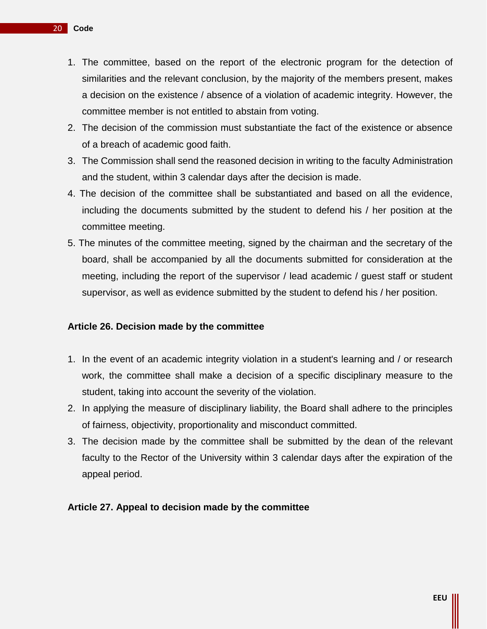- 1. The committee, based on the report of the electronic program for the detection of similarities and the relevant conclusion, by the majority of the members present, makes a decision on the existence / absence of a violation of academic integrity. However, the committee member is not entitled to abstain from voting.
- 2. The decision of the commission must substantiate the fact of the existence or absence of a breach of academic good faith.
- 3. The Commission shall send the reasoned decision in writing to the faculty Administration and the student, within 3 calendar days after the decision is made.
- 4. The decision of the committee shall be substantiated and based on all the evidence, including the documents submitted by the student to defend his / her position at the committee meeting.
- 5. The minutes of the committee meeting, signed by the chairman and the secretary of the board, shall be accompanied by all the documents submitted for consideration at the meeting, including the report of the supervisor / lead academic / guest staff or student supervisor, as well as evidence submitted by the student to defend his / her position.

# **Article 26. Decision made by the committee**

- 1. In the event of an academic integrity violation in a student's learning and / or research work, the committee shall make a decision of a specific disciplinary measure to the student, taking into account the severity of the violation.
- 2. In applying the measure of disciplinary liability, the Board shall adhere to the principles of fairness, objectivity, proportionality and misconduct committed.
- 3. The decision made by the committee shall be submitted by the dean of the relevant faculty to the Rector of the University within 3 calendar days after the expiration of the appeal period.

#### **Article 27. Appeal to decision made by the committee**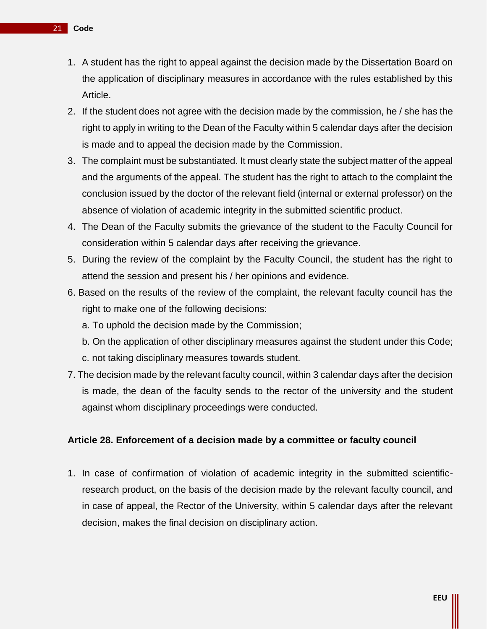- 1. A student has the right to appeal against the decision made by the Dissertation Board on the application of disciplinary measures in accordance with the rules established by this Article.
- 2. If the student does not agree with the decision made by the commission, he / she has the right to apply in writing to the Dean of the Faculty within 5 calendar days after the decision is made and to appeal the decision made by the Commission.
- 3. The complaint must be substantiated. It must clearly state the subject matter of the appeal and the arguments of the appeal. The student has the right to attach to the complaint the conclusion issued by the doctor of the relevant field (internal or external professor) on the absence of violation of academic integrity in the submitted scientific product.
- 4. The Dean of the Faculty submits the grievance of the student to the Faculty Council for consideration within 5 calendar days after receiving the grievance.
- 5. During the review of the complaint by the Faculty Council, the student has the right to attend the session and present his / her opinions and evidence.
- 6. Based on the results of the review of the complaint, the relevant faculty council has the right to make one of the following decisions:
	- a. To uphold the decision made by the Commission;
	- b. On the application of other disciplinary measures against the student under this Code;
	- c. not taking disciplinary measures towards student.
- 7. The decision made by the relevant faculty council, within 3 calendar days after the decision is made, the dean of the faculty sends to the rector of the university and the student against whom disciplinary proceedings were conducted.

#### **Article 28. Enforcement of a decision made by a committee or faculty council**

1. In case of confirmation of violation of academic integrity in the submitted scientificresearch product, on the basis of the decision made by the relevant faculty council, and in case of appeal, the Rector of the University, within 5 calendar days after the relevant decision, makes the final decision on disciplinary action.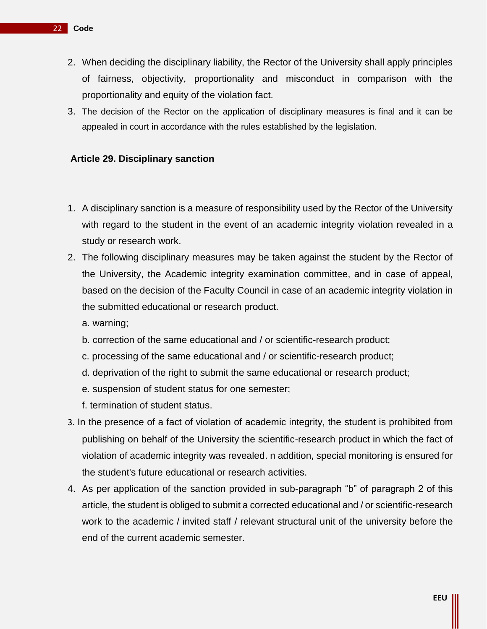- 2. When deciding the disciplinary liability, the Rector of the University shall apply principles of fairness, objectivity, proportionality and misconduct in comparison with the proportionality and equity of the violation fact.
- 3. The decision of the Rector on the application of disciplinary measures is final and it can be appealed in court in accordance with the rules established by the legislation.

# **Article 29. Disciplinary sanction**

- 1. A disciplinary sanction is a measure of responsibility used by the Rector of the University with regard to the student in the event of an academic integrity violation revealed in a study or research work.
- 2. The following disciplinary measures may be taken against the student by the Rector of the University, the Academic integrity examination committee, and in case of appeal, based on the decision of the Faculty Council in case of an academic integrity violation in the submitted educational or research product.

a. warning;

- b. correction of the same educational and / or scientific-research product;
- c. processing of the same educational and / or scientific-research product;
- d. deprivation of the right to submit the same educational or research product;
- e. suspension of student status for one semester;
- f. termination of student status.
- 3. In the presence of a fact of violation of academic integrity, the student is prohibited from publishing on behalf of the University the scientific-research product in which the fact of violation of academic integrity was revealed. n addition, special monitoring is ensured for the student's future educational or research activities.
- 4. As per application of the sanction provided in sub-paragraph "b" of paragraph 2 of this article, the student is obliged to submit a corrected educational and / or scientific-research work to the academic / invited staff / relevant structural unit of the university before the end of the current academic semester.